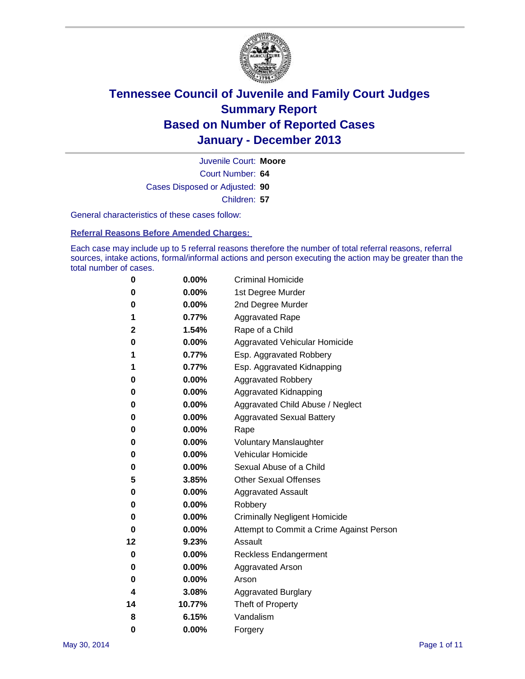

Court Number: **64** Juvenile Court: **Moore** Cases Disposed or Adjusted: **90** Children: **57**

General characteristics of these cases follow:

**Referral Reasons Before Amended Charges:** 

Each case may include up to 5 referral reasons therefore the number of total referral reasons, referral sources, intake actions, formal/informal actions and person executing the action may be greater than the total number of cases.

| 0  | 0.00%    | <b>Criminal Homicide</b>                 |
|----|----------|------------------------------------------|
| 0  | 0.00%    | 1st Degree Murder                        |
| 0  | 0.00%    | 2nd Degree Murder                        |
| 1  | 0.77%    | <b>Aggravated Rape</b>                   |
| 2  | 1.54%    | Rape of a Child                          |
| 0  | 0.00%    | <b>Aggravated Vehicular Homicide</b>     |
| 1  | 0.77%    | Esp. Aggravated Robbery                  |
| 1  | 0.77%    | Esp. Aggravated Kidnapping               |
| 0  | $0.00\%$ | <b>Aggravated Robbery</b>                |
| 0  | 0.00%    | Aggravated Kidnapping                    |
| 0  | 0.00%    | Aggravated Child Abuse / Neglect         |
| 0  | 0.00%    | <b>Aggravated Sexual Battery</b>         |
| 0  | 0.00%    | Rape                                     |
| 0  | $0.00\%$ | <b>Voluntary Manslaughter</b>            |
| 0  | 0.00%    | Vehicular Homicide                       |
| 0  | 0.00%    | Sexual Abuse of a Child                  |
| 5  | 3.85%    | <b>Other Sexual Offenses</b>             |
| 0  | 0.00%    | <b>Aggravated Assault</b>                |
| 0  | 0.00%    | Robbery                                  |
| 0  | 0.00%    | <b>Criminally Negligent Homicide</b>     |
| 0  | 0.00%    | Attempt to Commit a Crime Against Person |
| 12 | 9.23%    | Assault                                  |
| 0  | 0.00%    | <b>Reckless Endangerment</b>             |
| 0  | 0.00%    | <b>Aggravated Arson</b>                  |
| 0  | $0.00\%$ | Arson                                    |
| 4  | 3.08%    | <b>Aggravated Burglary</b>               |
| 14 | 10.77%   | Theft of Property                        |
| 8  | 6.15%    | Vandalism                                |
| 0  | 0.00%    | Forgery                                  |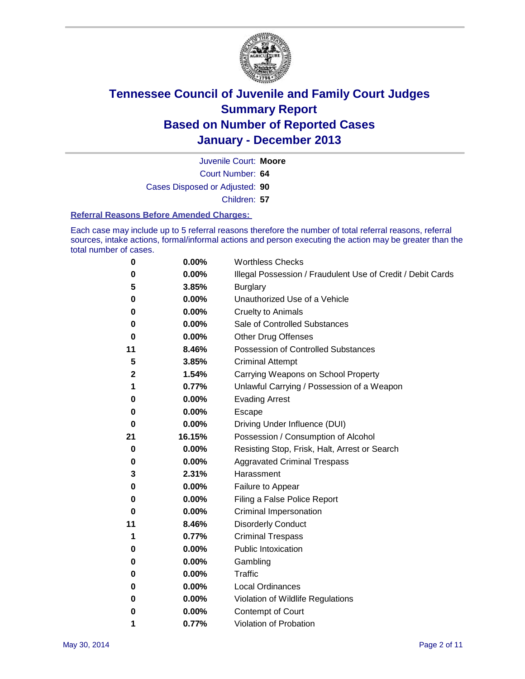

Court Number: **64** Juvenile Court: **Moore** Cases Disposed or Adjusted: **90** Children: **57**

#### **Referral Reasons Before Amended Charges:**

Each case may include up to 5 referral reasons therefore the number of total referral reasons, referral sources, intake actions, formal/informal actions and person executing the action may be greater than the total number of cases.

| 0  | 0.00%    | <b>Worthless Checks</b>                                     |
|----|----------|-------------------------------------------------------------|
| 0  | 0.00%    | Illegal Possession / Fraudulent Use of Credit / Debit Cards |
| 5  | 3.85%    | <b>Burglary</b>                                             |
| 0  | 0.00%    | Unauthorized Use of a Vehicle                               |
| 0  | 0.00%    | <b>Cruelty to Animals</b>                                   |
| 0  | $0.00\%$ | Sale of Controlled Substances                               |
| 0  | 0.00%    | <b>Other Drug Offenses</b>                                  |
| 11 | 8.46%    | Possession of Controlled Substances                         |
| 5  | 3.85%    | <b>Criminal Attempt</b>                                     |
| 2  | 1.54%    | Carrying Weapons on School Property                         |
| 1  | 0.77%    | Unlawful Carrying / Possession of a Weapon                  |
| 0  | 0.00%    | <b>Evading Arrest</b>                                       |
| 0  | $0.00\%$ | Escape                                                      |
| 0  | 0.00%    | Driving Under Influence (DUI)                               |
| 21 | 16.15%   | Possession / Consumption of Alcohol                         |
| 0  | $0.00\%$ | Resisting Stop, Frisk, Halt, Arrest or Search               |
| 0  | $0.00\%$ | <b>Aggravated Criminal Trespass</b>                         |
| 3  | 2.31%    | Harassment                                                  |
| 0  | $0.00\%$ | Failure to Appear                                           |
| 0  | $0.00\%$ | Filing a False Police Report                                |
| 0  | 0.00%    | Criminal Impersonation                                      |
| 11 | 8.46%    | <b>Disorderly Conduct</b>                                   |
| 1  | 0.77%    | <b>Criminal Trespass</b>                                    |
| 0  | $0.00\%$ | <b>Public Intoxication</b>                                  |
| 0  | $0.00\%$ | Gambling                                                    |
| 0  | $0.00\%$ | Traffic                                                     |
| 0  | 0.00%    | Local Ordinances                                            |
| 0  | 0.00%    | Violation of Wildlife Regulations                           |
| 0  | 0.00%    | Contempt of Court                                           |
| 1  | 0.77%    | Violation of Probation                                      |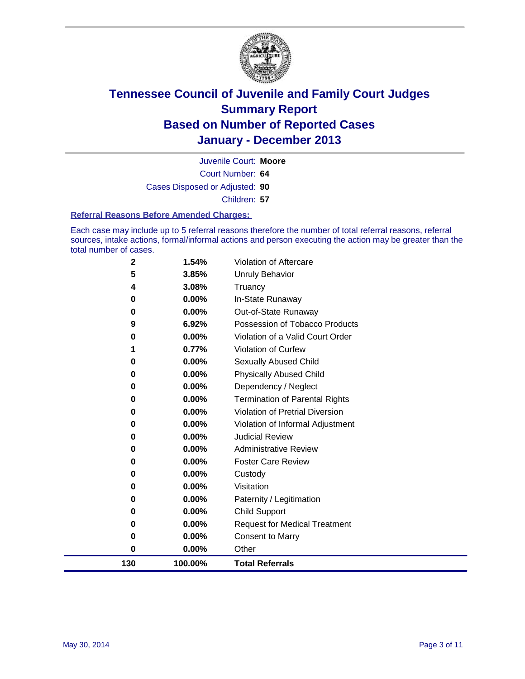

Court Number: **64** Juvenile Court: **Moore** Cases Disposed or Adjusted: **90** Children: **57**

#### **Referral Reasons Before Amended Charges:**

Each case may include up to 5 referral reasons therefore the number of total referral reasons, referral sources, intake actions, formal/informal actions and person executing the action may be greater than the total number of cases.

| 130         | 100.00%        | <b>Total Referrals</b>                                 |
|-------------|----------------|--------------------------------------------------------|
| 0           | 0.00%          | Other                                                  |
| 0           | 0.00%          | <b>Consent to Marry</b>                                |
| 0           | 0.00%          | <b>Request for Medical Treatment</b>                   |
| 0           | 0.00%          | <b>Child Support</b>                                   |
| 0           | 0.00%          | Paternity / Legitimation                               |
| 0           | 0.00%          | Visitation                                             |
| 0           | 0.00%          | Custody                                                |
| 0           | 0.00%          | <b>Foster Care Review</b>                              |
| 0           | 0.00%          | <b>Administrative Review</b>                           |
| 0           | 0.00%          | <b>Judicial Review</b>                                 |
| 0           | 0.00%          | Violation of Informal Adjustment                       |
| 0           | 0.00%          | <b>Violation of Pretrial Diversion</b>                 |
| 0           | 0.00%          | <b>Termination of Parental Rights</b>                  |
| 0           | 0.00%          | Dependency / Neglect                                   |
| 0           | 0.00%          | <b>Physically Abused Child</b>                         |
| 0           | 0.00%          | Sexually Abused Child                                  |
| 1           | 0.77%          | Violation of Curfew                                    |
| 0           | 0.00%          | Violation of a Valid Court Order                       |
| 9           | 0.00%<br>6.92% | Out-of-State Runaway<br>Possession of Tobacco Products |
| 0<br>0      | 0.00%          | In-State Runaway                                       |
| 4           | 3.08%          | Truancy                                                |
| 5           | 3.85%          | <b>Unruly Behavior</b>                                 |
| $\mathbf 2$ | 1.54%          | Violation of Aftercare                                 |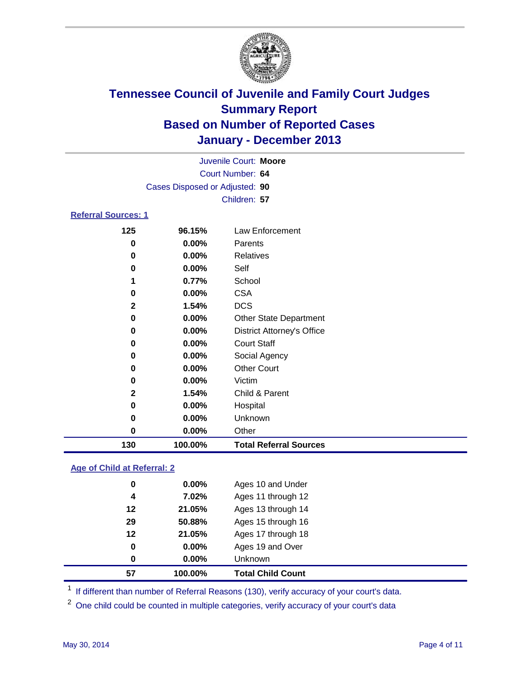

|                            |                                | Juvenile Court: Moore             |  |  |  |  |
|----------------------------|--------------------------------|-----------------------------------|--|--|--|--|
|                            |                                | Court Number: 64                  |  |  |  |  |
|                            | Cases Disposed or Adjusted: 90 |                                   |  |  |  |  |
|                            |                                | Children: 57                      |  |  |  |  |
| <b>Referral Sources: 1</b> |                                |                                   |  |  |  |  |
| 125                        | 96.15%                         | Law Enforcement                   |  |  |  |  |
| 0                          | $0.00\%$                       | Parents                           |  |  |  |  |
| 0                          | $0.00\%$                       | <b>Relatives</b>                  |  |  |  |  |
| 0                          | $0.00\%$                       | Self                              |  |  |  |  |
| 1                          | 0.77%                          | School                            |  |  |  |  |
| 0                          | $0.00\%$                       | <b>CSA</b>                        |  |  |  |  |
| $\mathbf{2}$               | 1.54%                          | <b>DCS</b>                        |  |  |  |  |
| 0                          | $0.00\%$                       | <b>Other State Department</b>     |  |  |  |  |
| 0                          | $0.00\%$                       | <b>District Attorney's Office</b> |  |  |  |  |
| 0                          | $0.00\%$                       | <b>Court Staff</b>                |  |  |  |  |
| O                          | $0.00\%$                       | Social Agency                     |  |  |  |  |
| 0                          | $0.00\%$                       | <b>Other Court</b>                |  |  |  |  |
|                            |                                |                                   |  |  |  |  |

| 130          | 100.00%  | <b>Total Referral Sources</b> |  |
|--------------|----------|-------------------------------|--|
| 0            | $0.00\%$ | Other                         |  |
| 0            | $0.00\%$ | <b>Unknown</b>                |  |
| 0            | $0.00\%$ | Hospital                      |  |
| $\mathbf{2}$ | 1.54%    | Child & Parent                |  |
| 0            | $0.00\%$ | Victim                        |  |

### **Age of Child at Referral: 2**

| 57 | 100.00%  | <b>Total Child Count</b> |
|----|----------|--------------------------|
| 0  | 0.00%    | <b>Unknown</b>           |
| 0  | 0.00%    | Ages 19 and Over         |
| 12 | 21.05%   | Ages 17 through 18       |
| 29 | 50.88%   | Ages 15 through 16       |
| 12 | 21.05%   | Ages 13 through 14       |
| 4  | 7.02%    | Ages 11 through 12       |
| 0  | $0.00\%$ | Ages 10 and Under        |

<sup>1</sup> If different than number of Referral Reasons (130), verify accuracy of your court's data.

<sup>2</sup> One child could be counted in multiple categories, verify accuracy of your court's data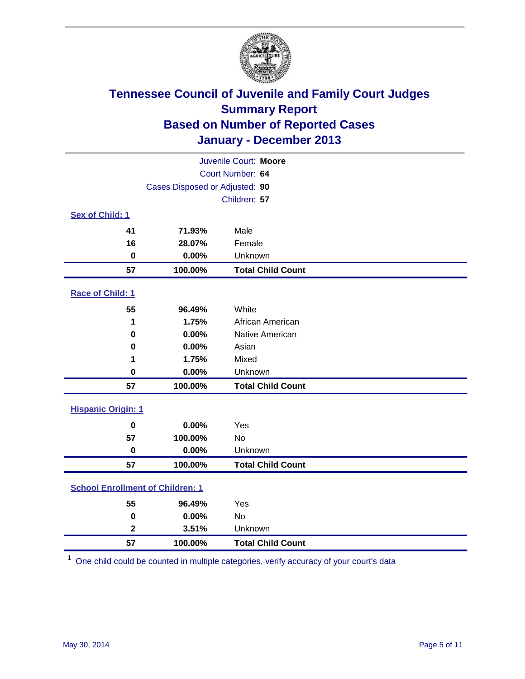

|                                         | Juvenile Court: Moore |                          |  |  |  |
|-----------------------------------------|-----------------------|--------------------------|--|--|--|
|                                         | Court Number: 64      |                          |  |  |  |
| Cases Disposed or Adjusted: 90          |                       |                          |  |  |  |
|                                         |                       | Children: 57             |  |  |  |
| Sex of Child: 1                         |                       |                          |  |  |  |
| 41                                      | 71.93%                | Male                     |  |  |  |
| 16                                      | 28.07%                | Female                   |  |  |  |
| $\mathbf 0$                             | 0.00%                 | Unknown                  |  |  |  |
| 57                                      | 100.00%               | <b>Total Child Count</b> |  |  |  |
| Race of Child: 1                        |                       |                          |  |  |  |
| 55                                      | 96.49%                | White                    |  |  |  |
| 1                                       | 1.75%                 | African American         |  |  |  |
| $\bf{0}$                                | 0.00%                 | Native American          |  |  |  |
| 0                                       | 0.00%                 | Asian                    |  |  |  |
| 1                                       | 1.75%                 | Mixed                    |  |  |  |
| 0                                       | 0.00%                 | Unknown                  |  |  |  |
| 57                                      | 100.00%               | <b>Total Child Count</b> |  |  |  |
| <b>Hispanic Origin: 1</b>               |                       |                          |  |  |  |
| 0                                       | 0.00%                 | Yes                      |  |  |  |
| 57                                      | 100.00%               | <b>No</b>                |  |  |  |
| $\mathbf 0$                             | 0.00%                 | Unknown                  |  |  |  |
| 57                                      | 100.00%               | <b>Total Child Count</b> |  |  |  |
| <b>School Enrollment of Children: 1</b> |                       |                          |  |  |  |
| 55                                      | 96.49%                | Yes                      |  |  |  |
| 0                                       | 0.00%                 | <b>No</b>                |  |  |  |
| $\mathbf{2}$                            | 3.51%                 | Unknown                  |  |  |  |
| 57                                      | 100.00%               | <b>Total Child Count</b> |  |  |  |

One child could be counted in multiple categories, verify accuracy of your court's data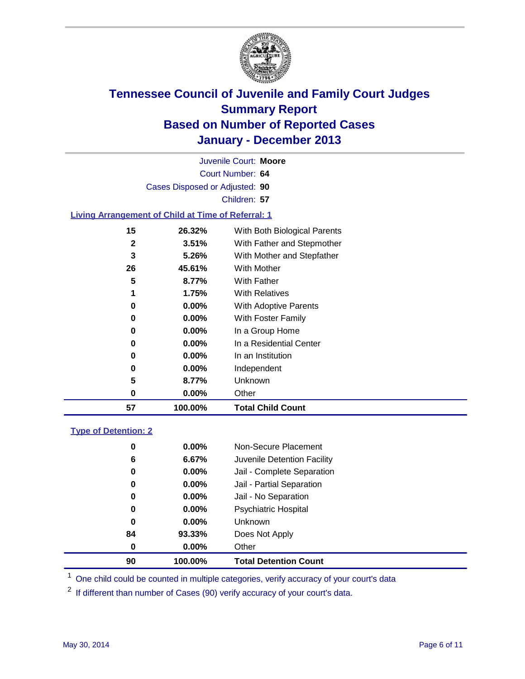

Court Number: **64** Juvenile Court: **Moore** Cases Disposed or Adjusted: **90** Children: **57**

### **Living Arrangement of Child at Time of Referral: 1**

| 57           | 100.00%  | <b>Total Child Count</b>     |
|--------------|----------|------------------------------|
| 0            | $0.00\%$ | Other                        |
| 5            | 8.77%    | Unknown                      |
| 0            | $0.00\%$ | Independent                  |
| 0            | $0.00\%$ | In an Institution            |
| 0            | $0.00\%$ | In a Residential Center      |
| 0            | $0.00\%$ | In a Group Home              |
| 0            | $0.00\%$ | With Foster Family           |
| 0            | 0.00%    | <b>With Adoptive Parents</b> |
| 1            | 1.75%    | <b>With Relatives</b>        |
| 5            | 8.77%    | <b>With Father</b>           |
| 26           | 45.61%   | With Mother                  |
| 3            | 5.26%    | With Mother and Stepfather   |
| $\mathbf{2}$ | 3.51%    | With Father and Stepmother   |
| 15           | 26.32%   | With Both Biological Parents |
|              |          |                              |

### **Type of Detention: 2**

| 90 | 100.00%  | <b>Total Detention Count</b> |
|----|----------|------------------------------|
| 0  | 0.00%    | Other                        |
| 84 | 93.33%   | Does Not Apply               |
| 0  | $0.00\%$ | <b>Unknown</b>               |
| 0  | $0.00\%$ | <b>Psychiatric Hospital</b>  |
| 0  | 0.00%    | Jail - No Separation         |
| 0  | 0.00%    | Jail - Partial Separation    |
| 0  | 0.00%    | Jail - Complete Separation   |
| 6  | 6.67%    | Juvenile Detention Facility  |
| 0  | 0.00%    | Non-Secure Placement         |
|    |          |                              |

<sup>1</sup> One child could be counted in multiple categories, verify accuracy of your court's data

<sup>2</sup> If different than number of Cases (90) verify accuracy of your court's data.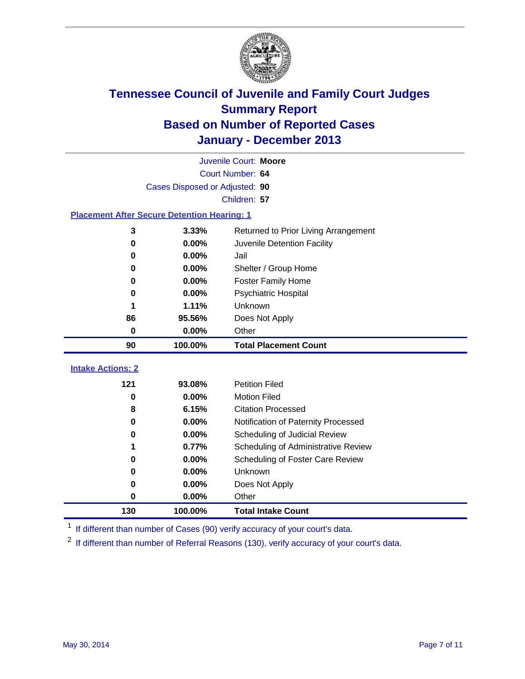

|                                                    | Juvenile Court: Moore |                                      |  |  |  |
|----------------------------------------------------|-----------------------|--------------------------------------|--|--|--|
|                                                    | Court Number: 64      |                                      |  |  |  |
| Cases Disposed or Adjusted: 90                     |                       |                                      |  |  |  |
|                                                    |                       | Children: 57                         |  |  |  |
| <b>Placement After Secure Detention Hearing: 1</b> |                       |                                      |  |  |  |
| 3                                                  | 3.33%                 | Returned to Prior Living Arrangement |  |  |  |
| 0                                                  | 0.00%                 | Juvenile Detention Facility          |  |  |  |
| 0                                                  | 0.00%                 | Jail                                 |  |  |  |
| 0                                                  | 0.00%                 | Shelter / Group Home                 |  |  |  |
| 0                                                  | 0.00%                 | <b>Foster Family Home</b>            |  |  |  |
| 0                                                  | 0.00%                 | <b>Psychiatric Hospital</b>          |  |  |  |
|                                                    | 1.11%                 | Unknown                              |  |  |  |
| 86                                                 | 95.56%                | Does Not Apply                       |  |  |  |
| 0                                                  | 0.00%                 | Other                                |  |  |  |
| 90                                                 | 100.00%               | <b>Total Placement Count</b>         |  |  |  |
|                                                    |                       |                                      |  |  |  |
| <b>Intake Actions: 2</b>                           |                       |                                      |  |  |  |
| 121                                                | 93.08%                | <b>Petition Filed</b>                |  |  |  |
| 0                                                  | 0.00%                 | <b>Motion Filed</b>                  |  |  |  |
| 8                                                  | 6.15%                 | <b>Citation Processed</b>            |  |  |  |
| $\bf{0}$                                           | 0.00%                 | Notification of Paternity Processed  |  |  |  |
| 0                                                  | 0.00%                 | Scheduling of Judicial Review        |  |  |  |
| 1                                                  | 0.77%                 | Scheduling of Administrative Review  |  |  |  |
| 0                                                  | 0.00%                 | Scheduling of Foster Care Review     |  |  |  |
| 0                                                  |                       | Unknown                              |  |  |  |
|                                                    | 0.00%                 |                                      |  |  |  |
| 0                                                  | 0.00%                 | Does Not Apply                       |  |  |  |
| 0                                                  | 0.00%                 | Other                                |  |  |  |

<sup>1</sup> If different than number of Cases (90) verify accuracy of your court's data.

<sup>2</sup> If different than number of Referral Reasons (130), verify accuracy of your court's data.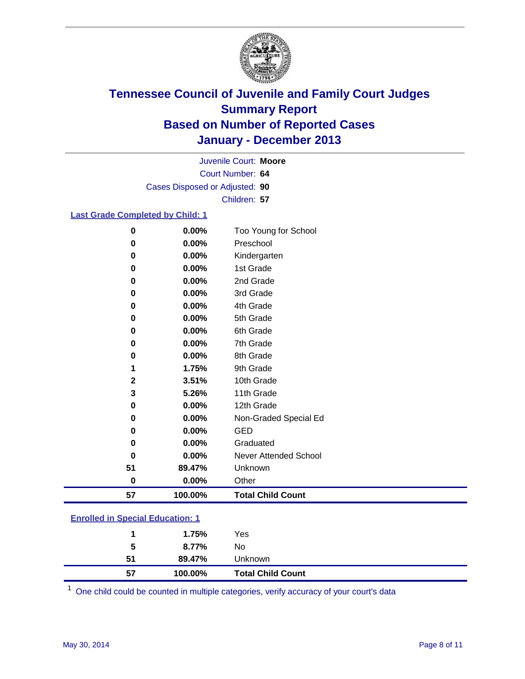

Court Number: **64** Juvenile Court: **Moore** Cases Disposed or Adjusted: **90** Children: **57**

#### **Last Grade Completed by Child: 1**

| 57           | 100.00% | <b>Total Child Count</b> |
|--------------|---------|--------------------------|
| $\bf{0}$     | 0.00%   | Other                    |
| 51           | 89.47%  | Unknown                  |
| $\mathbf 0$  | 0.00%   | Never Attended School    |
| 0            | 0.00%   | Graduated                |
| 0            | 0.00%   | <b>GED</b>               |
| $\bf{0}$     | 0.00%   | Non-Graded Special Ed    |
| 0            | 0.00%   | 12th Grade               |
| 3            | 5.26%   | 11th Grade               |
| $\mathbf{2}$ | 3.51%   | 10th Grade               |
|              | 1.75%   | 9th Grade                |
| 0            | 0.00%   | 8th Grade                |
| 0            | 0.00%   | 7th Grade                |
| 0            | 0.00%   | 6th Grade                |
| 0            | 0.00%   | 5th Grade                |
| 0            | 0.00%   | 4th Grade                |
| $\bf{0}$     | 0.00%   | 3rd Grade                |
| 0            | 0.00%   | 2nd Grade                |
| 0            | 0.00%   | 1st Grade                |
| 0            | 0.00%   | Kindergarten             |
| 0            | 0.00%   | Preschool                |
| $\bf{0}$     | 0.00%   | Too Young for School     |

| 57 | 100.00% | <b>Total Child Count</b> |  |
|----|---------|--------------------------|--|
| 51 | 89.47%  | Unknown                  |  |
| 5  | 8.77%   | No                       |  |
|    | 1.75%   | Yes                      |  |
|    |         |                          |  |

One child could be counted in multiple categories, verify accuracy of your court's data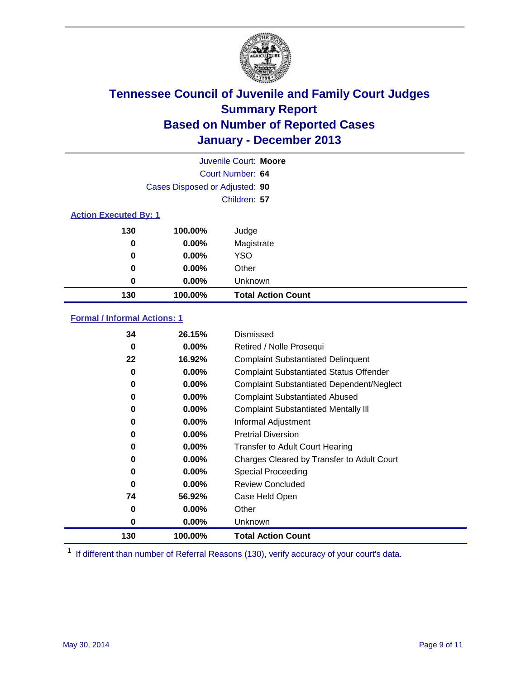

|                              |                                | Juvenile Court: Moore     |
|------------------------------|--------------------------------|---------------------------|
|                              |                                | Court Number: 64          |
|                              | Cases Disposed or Adjusted: 90 |                           |
|                              |                                | Children: 57              |
| <b>Action Executed By: 1</b> |                                |                           |
| 130                          | 100.00%                        | Judge                     |
| 0                            | $0.00\%$                       | Magistrate                |
| $\bf{0}$                     | $0.00\%$                       | <b>YSO</b>                |
| 0                            | $0.00\%$                       | Other                     |
| 0                            | $0.00\%$                       | Unknown                   |
| 130                          | 100.00%                        | <b>Total Action Count</b> |

### **Formal / Informal Actions: 1**

| 34       | 26.15%   | Dismissed                                        |
|----------|----------|--------------------------------------------------|
| 0        | $0.00\%$ | Retired / Nolle Prosequi                         |
| 22       | 16.92%   | <b>Complaint Substantiated Delinquent</b>        |
| 0        | $0.00\%$ | <b>Complaint Substantiated Status Offender</b>   |
| 0        | $0.00\%$ | <b>Complaint Substantiated Dependent/Neglect</b> |
| 0        | $0.00\%$ | <b>Complaint Substantiated Abused</b>            |
| 0        | $0.00\%$ | <b>Complaint Substantiated Mentally III</b>      |
| 0        | $0.00\%$ | Informal Adjustment                              |
| 0        | $0.00\%$ | <b>Pretrial Diversion</b>                        |
| 0        | 0.00%    | <b>Transfer to Adult Court Hearing</b>           |
| 0        | $0.00\%$ | Charges Cleared by Transfer to Adult Court       |
| 0        | $0.00\%$ | Special Proceeding                               |
| $\bf{0}$ | $0.00\%$ | <b>Review Concluded</b>                          |
| 74       | 56.92%   | Case Held Open                                   |
| 0        | $0.00\%$ | Other                                            |
| 0        | $0.00\%$ | Unknown                                          |
| 130      | 100.00%  | <b>Total Action Count</b>                        |

<sup>1</sup> If different than number of Referral Reasons (130), verify accuracy of your court's data.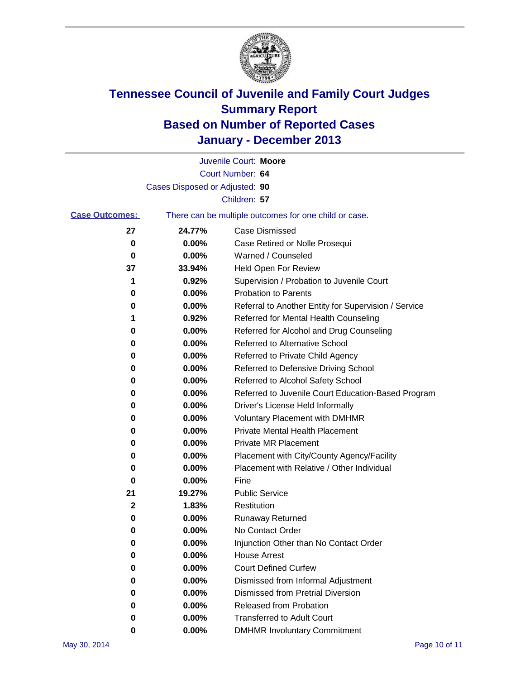

|                       |                                | Juvenile Court: Moore                                 |
|-----------------------|--------------------------------|-------------------------------------------------------|
|                       |                                | Court Number: 64                                      |
|                       | Cases Disposed or Adjusted: 90 |                                                       |
|                       |                                | Children: 57                                          |
| <b>Case Outcomes:</b> |                                | There can be multiple outcomes for one child or case. |
| 27                    | 24.77%                         | Case Dismissed                                        |
| 0                     | 0.00%                          | Case Retired or Nolle Prosequi                        |
| 0                     | 0.00%                          | Warned / Counseled                                    |
| 37                    | 33.94%                         | Held Open For Review                                  |
| 1                     | 0.92%                          | Supervision / Probation to Juvenile Court             |
| 0                     | 0.00%                          | <b>Probation to Parents</b>                           |
| 0                     | 0.00%                          | Referral to Another Entity for Supervision / Service  |
| 1                     | 0.92%                          | Referred for Mental Health Counseling                 |
| 0                     | 0.00%                          | Referred for Alcohol and Drug Counseling              |
| 0                     | 0.00%                          | <b>Referred to Alternative School</b>                 |
| 0                     | 0.00%                          | Referred to Private Child Agency                      |
| 0                     | 0.00%                          | Referred to Defensive Driving School                  |
| 0                     | 0.00%                          | Referred to Alcohol Safety School                     |
| 0                     | 0.00%                          | Referred to Juvenile Court Education-Based Program    |
| 0                     | 0.00%                          | Driver's License Held Informally                      |
| 0                     | 0.00%                          | <b>Voluntary Placement with DMHMR</b>                 |
| 0                     | 0.00%                          | <b>Private Mental Health Placement</b>                |
| 0                     | 0.00%                          | <b>Private MR Placement</b>                           |
| 0                     | 0.00%                          | Placement with City/County Agency/Facility            |
| 0                     | 0.00%                          | Placement with Relative / Other Individual            |
| 0                     | 0.00%                          | Fine                                                  |
| 21                    | 19.27%                         | <b>Public Service</b>                                 |
| 2                     | 1.83%                          | Restitution                                           |
| 0                     | 0.00%                          | <b>Runaway Returned</b>                               |
| 0                     | 0.00%                          | No Contact Order                                      |
| 0                     | 0.00%                          | Injunction Other than No Contact Order                |
| 0                     | 0.00%                          | <b>House Arrest</b>                                   |
| 0                     | 0.00%                          | <b>Court Defined Curfew</b>                           |
| 0                     | 0.00%                          | Dismissed from Informal Adjustment                    |
| 0                     | 0.00%                          | <b>Dismissed from Pretrial Diversion</b>              |
| 0                     | 0.00%                          | Released from Probation                               |
| 0                     | 0.00%                          | <b>Transferred to Adult Court</b>                     |
| 0                     | 0.00%                          | <b>DMHMR Involuntary Commitment</b>                   |